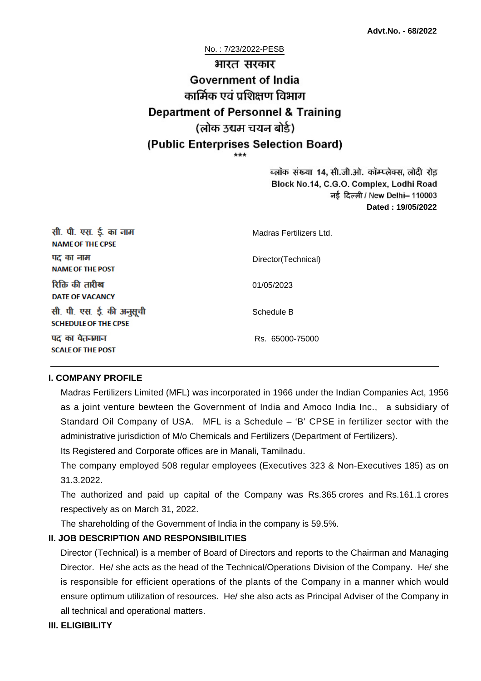#### No. : 7/23/2022-PESB

# भारत सरकार **Government of India** कार्मिक एवं पशिक्षण विभाग **Department of Personnel & Training** (लोक उद्यम चयन बोर्ड) (Public Enterprises Selection Board)

ब्लॉक संख्या 14, सी.जी.ओ. कॉम्प्लेक्स, लोदी रोड Block No.14, C.G.O. Complex, Lodhi Road ਰई दिल्ली / New Delhi– 110003 **Dated : 19/05/2022**

| सी. पी. एस. ई. का नाम<br><b>NAME OF THE CPSE</b>         | Madras Fertilizers Ltd. |
|----------------------------------------------------------|-------------------------|
| पद का नाम<br><b>NAME OF THE POST</b>                     | Director(Technical)     |
| रिक्ति की तारीख<br><b>DATE OF VACANCY</b>                | 01/05/2023              |
| सी. पी. एस. ई. की अनुसूची<br><b>SCHEDULE OF THE CPSE</b> | Schedule B              |
| पद का वेतनमान<br><b>SCALE OF THE POST</b>                | Rs. 65000-75000         |

#### **I. COMPANY PROFILE**

Madras Fertilizers Limited (MFL) was incorporated in 1966 under the Indian Companies Act, 1956 as a joint venture bewteen the Government of India and Amoco India Inc., a subsidiary of Standard Oil Company of USA. MFL is a Schedule – 'B' CPSE in fertilizer sector with the administrative jurisdiction of M/o Chemicals and Fertilizers (Department of Fertilizers).

Its Registered and Corporate offices are in Manali, Tamilnadu.

The company employed 508 regular employees (Executives 323 & Non-Executives 185) as on 31.3.2022.

The authorized and paid up capital of the Company was Rs.365 crores and Rs.161.1 crores respectively as on March 31, 2022.

The shareholding of the Government of India in the company is 59.5%.

#### **II. JOB DESCRIPTION AND RESPONSIBILITIES**

Director (Technical) is a member of Board of Directors and reports to the Chairman and Managing Director. He/ she acts as the head of the Technical/Operations Division of the Company. He/ she is responsible for efficient operations of the plants of the Company in a manner which would ensure optimum utilization of resources. He/ she also acts as Principal Adviser of the Company in all technical and operational matters.

#### **III. ELIGIBILITY**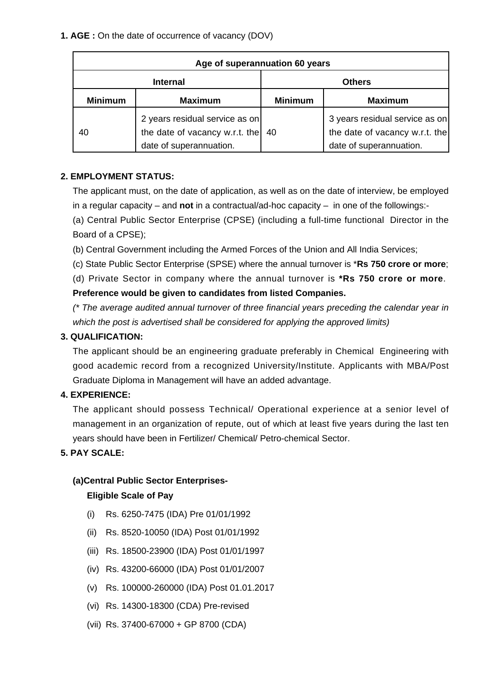**1. AGE :** On the date of occurrence of vacancy (DOV)

| Age of superannuation 60 years |                                                                                                        |                |                                                                                             |
|--------------------------------|--------------------------------------------------------------------------------------------------------|----------------|---------------------------------------------------------------------------------------------|
| <b>Internal</b>                |                                                                                                        | <b>Others</b>  |                                                                                             |
| <b>Minimum</b>                 | <b>Maximum</b>                                                                                         | <b>Minimum</b> | <b>Maximum</b>                                                                              |
| 40                             | 2 years residual service as on<br>the date of vacancy w.r.t. the $\vert$ 40<br>date of superannuation. |                | 3 years residual service as on<br>the date of vacancy w.r.t. the<br>date of superannuation. |

#### **2. EMPLOYMENT STATUS:**

The applicant must, on the date of application, as well as on the date of interview, be employed in a regular capacity – and **not** in a contractual/ad-hoc capacity – in one of the followings:-

(a) Central Public Sector Enterprise (CPSE) (including a full-time functional Director in the Board of a CPSE);

(b) Central Government including the Armed Forces of the Union and All India Services;

(c) State Public Sector Enterprise (SPSE) where the annual turnover is \***Rs 750 crore or more**;

(d) Private Sector in company where the annual turnover is **\*Rs 750 crore or more**. **Preference would be given to candidates from listed Companies.**

(\* The average audited annual turnover of three financial years preceding the calendar year in which the post is advertised shall be considered for applying the approved limits)

#### **3. QUALIFICATION:**

The applicant should be an engineering graduate preferably in Chemical Engineering with good academic record from a recognized University/Institute. Applicants with MBA/Post Graduate Diploma in Management will have an added advantage.

#### **4. EXPERIENCE:**

The applicant should possess Technical/ Operational experience at a senior level of management in an organization of repute, out of which at least five years during the last ten years should have been in Fertilizer/ Chemical/ Petro-chemical Sector.

**5. PAY SCALE:**

#### **(a)Central Public Sector Enterprises-**

#### **Eligible Scale of Pay**

- (i) Rs. 6250-7475 (IDA) Pre 01/01/1992
- (ii) Rs. 8520-10050 (IDA) Post 01/01/1992
- (iii) Rs. 18500-23900 (IDA) Post 01/01/1997
- (iv) Rs. 43200-66000 (IDA) Post 01/01/2007
- (v) Rs. 100000-260000 (IDA) Post 01.01.2017
- (vi) Rs. 14300-18300 (CDA) Pre-revised
- (vii) Rs. 37400-67000 + GP 8700 (CDA)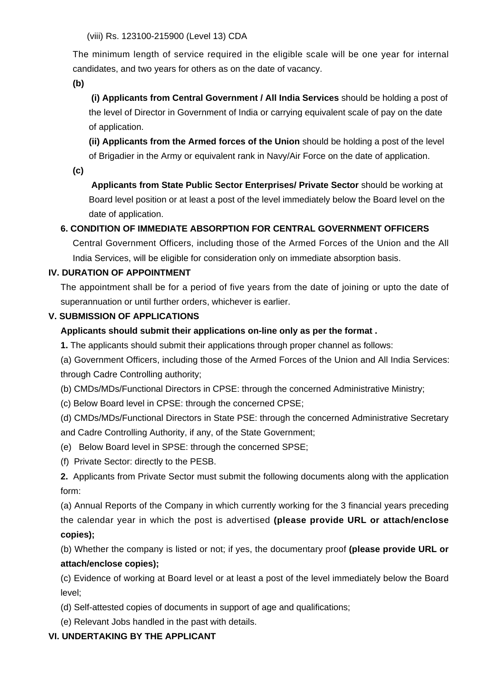(viii) Rs. 123100-215900 (Level 13) CDA

The minimum length of service required in the eligible scale will be one year for internal candidates, and two years for others as on the date of vacancy.

**(b)**

**(i) Applicants from Central Government / All India Services** should be holding a post of the level of Director in Government of India or carrying equivalent scale of pay on the date of application.

**(ii) Applicants from the Armed forces of the Union** should be holding a post of the level of Brigadier in the Army or equivalent rank in Navy/Air Force on the date of application.

**(c)**

 **Applicants from State Public Sector Enterprises/ Private Sector** should be working at Board level position or at least a post of the level immediately below the Board level on the date of application.

## **6. CONDITION OF IMMEDIATE ABSORPTION FOR CENTRAL GOVERNMENT OFFICERS**

Central Government Officers, including those of the Armed Forces of the Union and the All India Services, will be eligible for consideration only on immediate absorption basis.

## **IV. DURATION OF APPOINTMENT**

The appointment shall be for a period of five years from the date of joining or upto the date of superannuation or until further orders, whichever is earlier.

## **V. SUBMISSION OF APPLICATIONS**

## **Applicants should submit their applications on-line only as per the format .**

**1.** The applicants should submit their applications through proper channel as follows:

(a) Government Officers, including those of the Armed Forces of the Union and All India Services: through Cadre Controlling authority;

(b) CMDs/MDs/Functional Directors in CPSE: through the concerned Administrative Ministry;

(c) Below Board level in CPSE: through the concerned CPSE;

(d) CMDs/MDs/Functional Directors in State PSE: through the concerned Administrative Secretary and Cadre Controlling Authority, if any, of the State Government;

- (e) Below Board level in SPSE: through the concerned SPSE;
- (f) Private Sector: directly to the PESB.

**2.** Applicants from Private Sector must submit the following documents along with the application form:

(a) Annual Reports of the Company in which currently working for the 3 financial years preceding the calendar year in which the post is advertised **(please provide URL or attach/enclose copies);**

(b) Whether the company is listed or not; if yes, the documentary proof **(please provide URL or attach/enclose copies);**

(c) Evidence of working at Board level or at least a post of the level immediately below the Board level;

- (d) Self-attested copies of documents in support of age and qualifications;
- (e) Relevant Jobs handled in the past with details.

## **VI. UNDERTAKING BY THE APPLICANT**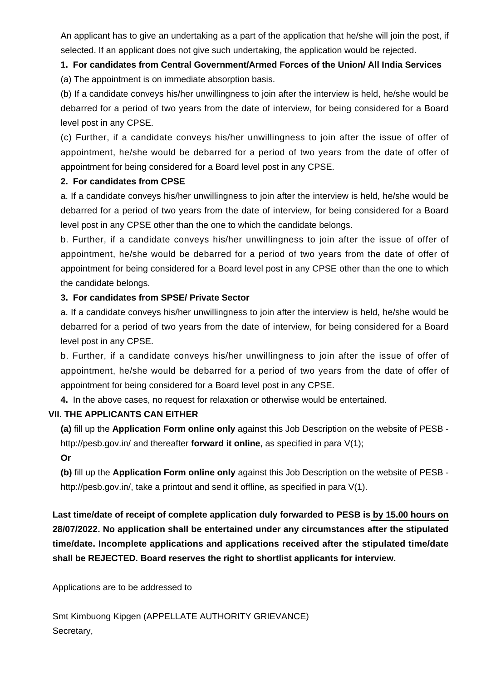An applicant has to give an undertaking as a part of the application that he/she will join the post, if selected. If an applicant does not give such undertaking, the application would be rejected.

# **1. For candidates from Central Government/Armed Forces of the Union/ All India Services**

(a) The appointment is on immediate absorption basis.

(b) If a candidate conveys his/her unwillingness to join after the interview is held, he/she would be debarred for a period of two years from the date of interview, for being considered for a Board level post in any CPSE.

(c) Further, if a candidate conveys his/her unwillingness to join after the issue of offer of appointment, he/she would be debarred for a period of two years from the date of offer of appointment for being considered for a Board level post in any CPSE.

## **2. For candidates from CPSE**

a. If a candidate conveys his/her unwillingness to join after the interview is held, he/she would be debarred for a period of two years from the date of interview, for being considered for a Board level post in any CPSE other than the one to which the candidate belongs.

b. Further, if a candidate conveys his/her unwillingness to join after the issue of offer of appointment, he/she would be debarred for a period of two years from the date of offer of appointment for being considered for a Board level post in any CPSE other than the one to which the candidate belongs.

## **3. For candidates from SPSE/ Private Sector**

a. If a candidate conveys his/her unwillingness to join after the interview is held, he/she would be debarred for a period of two years from the date of interview, for being considered for a Board level post in any CPSE.

b. Further, if a candidate conveys his/her unwillingness to join after the issue of offer of appointment, he/she would be debarred for a period of two years from the date of offer of appointment for being considered for a Board level post in any CPSE.

**4.** In the above cases, no request for relaxation or otherwise would be entertained.

## **VII. THE APPLICANTS CAN EITHER**

**(a)** fill up the **Application Form online only** against this Job Description on the website of PESB http://pesb.gov.in/ and thereafter **forward it online**, as specified in para V(1);

## **Or**

**(b)** fill up the **Application Form online only** against this Job Description on the website of PESB http://pesb.gov.in/, take a printout and send it offline, as specified in para V(1).

**Last time/date of receipt of complete application duly forwarded to PESB is by 15.00 hours on 28/07/2022. No application shall be entertained under any circumstances after the stipulated time/date. Incomplete applications and applications received after the stipulated time/date shall be REJECTED. Board reserves the right to shortlist applicants for interview.**

Applications are to be addressed to

Smt Kimbuong Kipgen (APPELLATE AUTHORITY GRIEVANCE) Secretary,